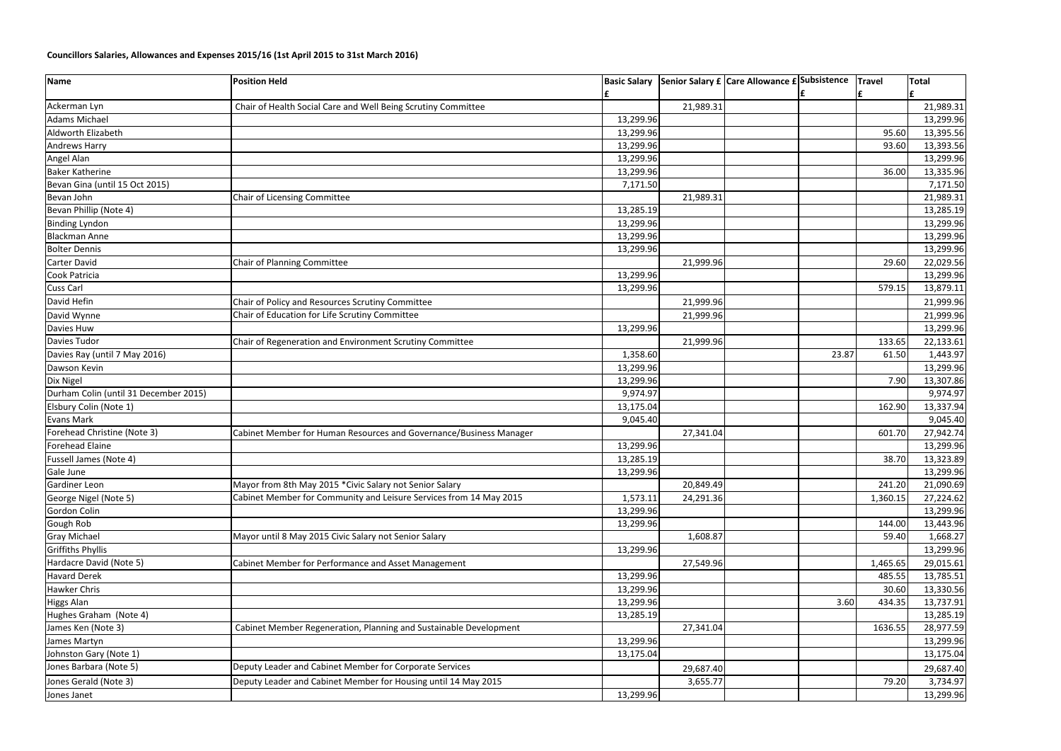# **Councillors Salaries, Allowances and Expenses 2015/16 (1st April 2015 to 31st March 2016)**

| Name                                  | <b>Position Held</b>                                               |           |           | Basic Salary Senior Salary £ Care Allowance £ Subsistence |       | <b>Travel</b> | Total     |
|---------------------------------------|--------------------------------------------------------------------|-----------|-----------|-----------------------------------------------------------|-------|---------------|-----------|
|                                       |                                                                    |           |           |                                                           |       |               | ١£        |
| Ackerman Lyn                          | Chair of Health Social Care and Well Being Scrutiny Committee      |           | 21,989.31 |                                                           |       |               | 21,989.31 |
| <b>Adams Michael</b>                  |                                                                    | 13,299.96 |           |                                                           |       |               | 13,299.96 |
| Aldworth Elizabeth                    |                                                                    | 13,299.96 |           |                                                           |       | 95.60         | 13,395.56 |
| <b>Andrews Harry</b>                  |                                                                    | 13,299.96 |           |                                                           |       | 93.60         | 13,393.56 |
| Angel Alan                            |                                                                    | 13,299.96 |           |                                                           |       |               | 13,299.96 |
| <b>Baker Katherine</b>                |                                                                    | 13,299.96 |           |                                                           |       | 36.00         | 13,335.96 |
| Bevan Gina (until 15 Oct 2015)        |                                                                    | 7,171.50  |           |                                                           |       |               | 7,171.50  |
| Bevan John                            | Chair of Licensing Committee                                       |           | 21,989.31 |                                                           |       |               | 21,989.31 |
| Bevan Phillip (Note 4)                |                                                                    | 13,285.19 |           |                                                           |       |               | 13,285.19 |
| <b>Binding Lyndon</b>                 |                                                                    | 13,299.96 |           |                                                           |       |               | 13,299.96 |
| <b>Blackman Anne</b>                  |                                                                    | 13,299.96 |           |                                                           |       |               | 13,299.96 |
| <b>Bolter Dennis</b>                  |                                                                    | 13,299.96 |           |                                                           |       |               | 13,299.96 |
| <b>Carter David</b>                   | Chair of Planning Committee                                        |           | 21,999.96 |                                                           |       | 29.60         | 22,029.56 |
| Cook Patricia                         |                                                                    | 13,299.96 |           |                                                           |       |               | 13,299.96 |
| <b>Cuss Carl</b>                      |                                                                    | 13,299.96 |           |                                                           |       | 579.15        | 13,879.11 |
| David Hefin                           | Chair of Policy and Resources Scrutiny Committee                   |           | 21,999.96 |                                                           |       |               | 21,999.96 |
| David Wynne                           | Chair of Education for Life Scrutiny Committee                     |           | 21,999.96 |                                                           |       |               | 21,999.96 |
| Davies Huw                            |                                                                    | 13,299.96 |           |                                                           |       |               | 13,299.96 |
| <b>Davies Tudor</b>                   | Chair of Regeneration and Environment Scrutiny Committee           |           | 21,999.96 |                                                           |       | 133.65        | 22,133.61 |
| Davies Ray (until 7 May 2016)         |                                                                    | 1,358.60  |           |                                                           | 23.87 | 61.50         | 1,443.97  |
| Dawson Kevin                          |                                                                    | 13,299.96 |           |                                                           |       |               | 13,299.96 |
| Dix Nigel                             |                                                                    | 13,299.96 |           |                                                           |       | 7.90          | 13,307.86 |
| Durham Colin (until 31 December 2015) |                                                                    | 9,974.97  |           |                                                           |       |               | 9,974.97  |
| Elsbury Colin (Note 1)                |                                                                    | 13,175.04 |           |                                                           |       | 162.90        | 13,337.94 |
| <b>Evans Mark</b>                     |                                                                    | 9,045.40  |           |                                                           |       |               | 9,045.40  |
| Forehead Christine (Note 3)           | Cabinet Member for Human Resources and Governance/Business Manager |           | 27,341.04 |                                                           |       | 601.70        | 27,942.74 |
| <b>Forehead Elaine</b>                |                                                                    | 13,299.96 |           |                                                           |       |               | 13,299.96 |
| Fussell James (Note 4)                |                                                                    | 13,285.19 |           |                                                           |       | 38.70         | 13,323.89 |
| Gale June                             |                                                                    | 13,299.96 |           |                                                           |       |               | 13,299.96 |
| <b>Gardiner Leon</b>                  | Mayor from 8th May 2015 *Civic Salary not Senior Salary            |           | 20,849.49 |                                                           |       | 241.20        | 21,090.69 |
| George Nigel (Note 5)                 | Cabinet Member for Community and Leisure Services from 14 May 2015 | 1,573.11  | 24,291.36 |                                                           |       | 1,360.15      | 27,224.62 |
| Gordon Colin                          |                                                                    | 13,299.96 |           |                                                           |       |               | 13,299.96 |
| Gough Rob                             |                                                                    | 13,299.96 |           |                                                           |       | 144.00        | 13,443.96 |
| <b>Gray Michael</b>                   | Mayor until 8 May 2015 Civic Salary not Senior Salary              |           | 1,608.87  |                                                           |       | 59.40         | 1,668.27  |
| <b>Griffiths Phyllis</b>              |                                                                    | 13,299.96 |           |                                                           |       |               | 13,299.96 |
| Hardacre David (Note 5)               | Cabinet Member for Performance and Asset Management                |           | 27,549.96 |                                                           |       | 1,465.65      | 29,015.61 |
| <b>Havard Derek</b>                   |                                                                    | 13,299.96 |           |                                                           |       | 485.55        | 13,785.51 |
| <b>Hawker Chris</b>                   |                                                                    | 13,299.96 |           |                                                           |       | 30.60         | 13,330.56 |
| <b>Higgs Alan</b>                     |                                                                    | 13,299.96 |           |                                                           | 3.60  | 434.35        | 13,737.91 |
| Hughes Graham (Note 4)                |                                                                    | 13,285.19 |           |                                                           |       |               | 13,285.19 |
| James Ken (Note 3)                    | Cabinet Member Regeneration, Planning and Sustainable Development  |           | 27,341.04 |                                                           |       | 1636.55       | 28,977.59 |
| James Martyn                          |                                                                    | 13,299.96 |           |                                                           |       |               | 13,299.96 |
| Johnston Gary (Note 1)                |                                                                    | 13,175.04 |           |                                                           |       |               | 13,175.04 |
| Jones Barbara (Note 5)                | Deputy Leader and Cabinet Member for Corporate Services            |           | 29,687.40 |                                                           |       |               | 29,687.40 |
| Jones Gerald (Note 3)                 | Deputy Leader and Cabinet Member for Housing until 14 May 2015     |           | 3,655.77  |                                                           |       | 79.20         | 3,734.97  |
| Jones Janet                           |                                                                    | 13,299.96 |           |                                                           |       |               | 13,299.96 |
|                                       |                                                                    |           |           |                                                           |       |               |           |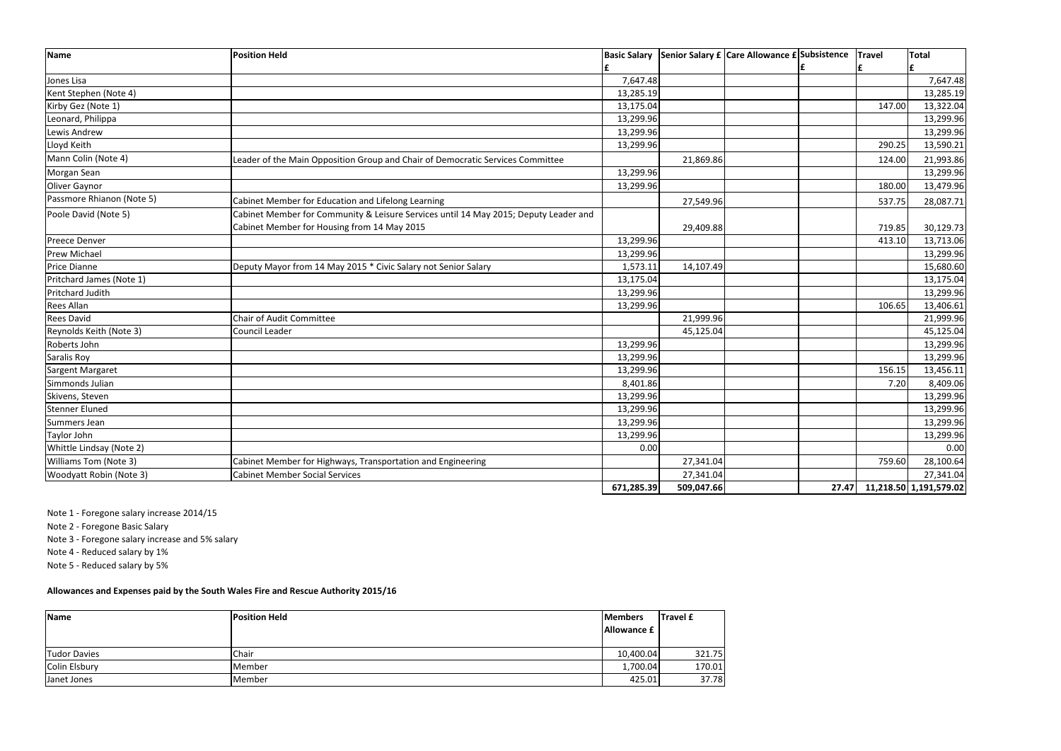| <b>Name</b>               | <b>Position Held</b>                                                                 |            |            | Basic Salary Senior Salary £ Care Allowance £ Subsistence | Travel | Total                        |
|---------------------------|--------------------------------------------------------------------------------------|------------|------------|-----------------------------------------------------------|--------|------------------------------|
|                           |                                                                                      |            |            |                                                           | £      |                              |
| Jones Lisa                |                                                                                      | 7,647.48   |            |                                                           |        | 7,647.48                     |
| Kent Stephen (Note 4)     |                                                                                      | 13,285.19  |            |                                                           |        | 13,285.19                    |
| Kirby Gez (Note 1)        |                                                                                      | 13,175.04  |            |                                                           | 147.00 | 13,322.04                    |
| Leonard, Philippa         |                                                                                      | 13,299.96  |            |                                                           |        | 13,299.96                    |
| Lewis Andrew              |                                                                                      | 13,299.96  |            |                                                           |        | 13,299.96                    |
| Lloyd Keith               |                                                                                      | 13,299.96  |            |                                                           | 290.25 | 13,590.21                    |
| Mann Colin (Note 4)       | Leader of the Main Opposition Group and Chair of Democratic Services Committee       |            | 21,869.86  |                                                           | 124.00 | 21,993.86                    |
| Morgan Sean               |                                                                                      | 13,299.96  |            |                                                           |        | 13,299.96                    |
| Oliver Gaynor             |                                                                                      | 13,299.96  |            |                                                           | 180.00 | 13,479.96                    |
| Passmore Rhianon (Note 5) | Cabinet Member for Education and Lifelong Learning                                   |            | 27,549.96  |                                                           | 537.75 | 28,087.71                    |
| Poole David (Note 5)      | Cabinet Member for Community & Leisure Services until 14 May 2015; Deputy Leader and |            |            |                                                           |        |                              |
|                           | Cabinet Member for Housing from 14 May 2015                                          |            | 29,409.88  |                                                           | 719.85 | 30,129.73                    |
| <b>Preece Denver</b>      |                                                                                      | 13,299.96  |            |                                                           | 413.10 | 13,713.06                    |
| Prew Michael              |                                                                                      | 13,299.96  |            |                                                           |        | 13,299.96                    |
| Price Dianne              | Deputy Mayor from 14 May 2015 * Civic Salary not Senior Salary                       | 1,573.11   | 14,107.49  |                                                           |        | 15,680.60                    |
| Pritchard James (Note 1)  |                                                                                      | 13,175.04  |            |                                                           |        | 13,175.04                    |
| Pritchard Judith          |                                                                                      | 13,299.96  |            |                                                           |        | 13,299.96                    |
| Rees Allan                |                                                                                      | 13,299.96  |            |                                                           | 106.65 | 13,406.61                    |
| <b>Rees David</b>         | Chair of Audit Committee                                                             |            | 21,999.96  |                                                           |        | 21,999.96                    |
| Reynolds Keith (Note 3)   | Council Leader                                                                       |            | 45,125.04  |                                                           |        | 45,125.04                    |
| Roberts John              |                                                                                      | 13,299.96  |            |                                                           |        | 13,299.96                    |
| Saralis Roy               |                                                                                      | 13,299.96  |            |                                                           |        | 13,299.96                    |
| Sargent Margaret          |                                                                                      | 13,299.96  |            |                                                           | 156.15 | 13,456.11                    |
| Simmonds Julian           |                                                                                      | 8,401.86   |            |                                                           | 7.20   | 8,409.06                     |
| Skivens, Steven           |                                                                                      | 13,299.96  |            |                                                           |        | 13,299.96                    |
| <b>Stenner Eluned</b>     |                                                                                      | 13,299.96  |            |                                                           |        | 13,299.96                    |
| Summers Jean              |                                                                                      | 13,299.96  |            |                                                           |        | 13,299.96                    |
| Taylor John               |                                                                                      | 13,299.96  |            |                                                           |        | 13,299.96                    |
| Whittle Lindsay (Note 2)  |                                                                                      | 0.00       |            |                                                           |        | 0.00                         |
| Williams Tom (Note 3)     | Cabinet Member for Highways, Transportation and Engineering                          |            | 27,341.04  |                                                           | 759.60 | 28,100.64                    |
| Woodyatt Robin (Note 3)   | <b>Cabinet Member Social Services</b>                                                |            | 27,341.04  |                                                           |        | 27,341.04                    |
|                           |                                                                                      | 671,285.39 | 509,047.66 |                                                           |        | 27.47 11,218.50 1,191,579.02 |

Note 1 - Foregone salary increase 2014/15

Note 2 - Foregone Basic Salary

Note 3 - Foregone salary increase and 5% salary

Note 4 - Reduced salary by 1%

Note 5 - Reduced salary by 5%

## **Allowances and Expenses paid by the South Wales Fire and Rescue Authority 2015/16**

| <b>Name</b>   | <b>Position Held</b> | <b>Members</b><br><b>Allowance £</b> | <b>Travel £</b> |
|---------------|----------------------|--------------------------------------|-----------------|
| Tudor Davies  | Chair                | 10,400.04                            | 321.75          |
| Colin Elsbury | Member               | 1,700.04                             | 170.01          |
| Janet Jones   | Member               | 425.01                               | 37.78           |